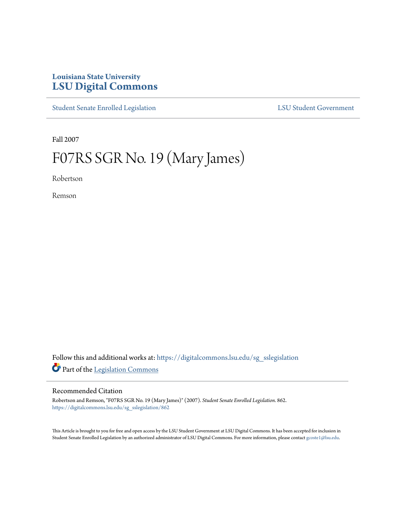## **Louisiana State University [LSU Digital Commons](https://digitalcommons.lsu.edu?utm_source=digitalcommons.lsu.edu%2Fsg_sslegislation%2F862&utm_medium=PDF&utm_campaign=PDFCoverPages)**

[Student Senate Enrolled Legislation](https://digitalcommons.lsu.edu/sg_sslegislation?utm_source=digitalcommons.lsu.edu%2Fsg_sslegislation%2F862&utm_medium=PDF&utm_campaign=PDFCoverPages) [LSU Student Government](https://digitalcommons.lsu.edu/sg?utm_source=digitalcommons.lsu.edu%2Fsg_sslegislation%2F862&utm_medium=PDF&utm_campaign=PDFCoverPages)

Fall 2007

# F07RS SGR No. 19 (Mary James)

Robertson

Remson

Follow this and additional works at: [https://digitalcommons.lsu.edu/sg\\_sslegislation](https://digitalcommons.lsu.edu/sg_sslegislation?utm_source=digitalcommons.lsu.edu%2Fsg_sslegislation%2F862&utm_medium=PDF&utm_campaign=PDFCoverPages) Part of the [Legislation Commons](http://network.bepress.com/hgg/discipline/859?utm_source=digitalcommons.lsu.edu%2Fsg_sslegislation%2F862&utm_medium=PDF&utm_campaign=PDFCoverPages)

#### Recommended Citation

Robertson and Remson, "F07RS SGR No. 19 (Mary James)" (2007). *Student Senate Enrolled Legislation*. 862. [https://digitalcommons.lsu.edu/sg\\_sslegislation/862](https://digitalcommons.lsu.edu/sg_sslegislation/862?utm_source=digitalcommons.lsu.edu%2Fsg_sslegislation%2F862&utm_medium=PDF&utm_campaign=PDFCoverPages)

This Article is brought to you for free and open access by the LSU Student Government at LSU Digital Commons. It has been accepted for inclusion in Student Senate Enrolled Legislation by an authorized administrator of LSU Digital Commons. For more information, please contact [gcoste1@lsu.edu.](mailto:gcoste1@lsu.edu)